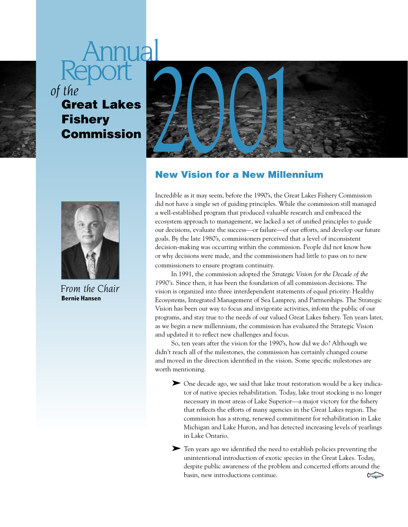# Annual *of the*

## **Fishery** Commission



*From the Chair*  **Bernie Hansen**



## New Vision for a New Millennium

Incredible as it may seem, before the 1990's, the Great Lakes Fishery Commission did not have a single set of guiding principles. While the commission still managed a well-established program that produced valuable research and embraced the ecosystem approach to management, we lacked a set of unified principles to guide our decisions, evaluate the success—or failure—of our efforts, and develop our future goals. By the late 1980's, commissioners perceived that a level of inconsistent decision-making was occurring within the commission. People did not know how or why decisions were made, and the commissioners had little to pass on to new commissioners to ensure program continuity.

In 1991, the commission adopted the *Strategic Vision for the Decade of the 1990's*. Since then, it has been the foundation of all commission decisions. The vision is organized into three interdependent statements of equal priority: Healthy Ecosystems, Integrated Management of Sea Lamprey, and Partnerships. The Strategic Vision has been our way to focus and invigorate activities, inform the public of our programs, and stay true to the needs of our valued Great Lakes fishery. Ten years later, as we begin a new millennium, the commission has evaluated the Strategic Vision and updated it to reflect new challenges and focus.

So, ten years after the vision for the 1990's, how did we do? Although we didn't reach all of the milestones, the commission has certainly changed course and moved in the direction identified in the vision. Some specific milestones are worth mentioning.

➤ One decade ago, we said that lake trout restoration would be a key indicator of native species rehabilitation. Today, lake trout stocking is no longer necessary in most areas of Lake Superior—a major victory for the fishery that reflects the efforts of many agencies in the Great Lakes region. The commission has a strong, renewed commitment for rehabilitation in Lake Michigan and Lake Huron, and has detected increasing levels of yearlings in Lake Ontario.

➤ Ten years ago we identified the need to establish policies preventing the unintentional introduction of exotic species in the Great Lakes. Today, despite public awareness of the problem and concerted efforts around the basin, new introductions continue. $\approx$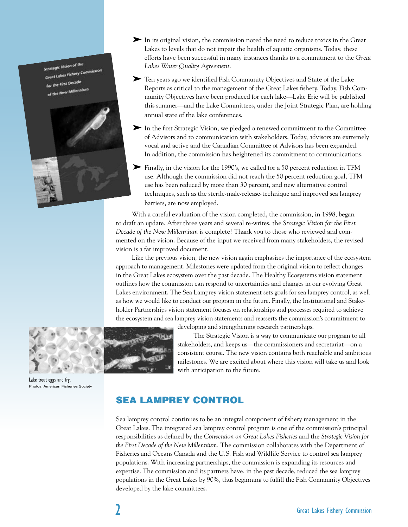**Strategic Vision of the** Great Lakes Fishery Co First Decade



- ➤ In its original vision, the commission noted the need to reduce toxics in the Great Lakes to levels that do not impair the health of aquatic organisms. Today, these efforts have been successful in many instances thanks to a commitment to the *Great Lakes Water Quality Agreement*.
- ➤ Ten years ago we identified Fish Community Objectives and State of the Lake Reports as critical to the management of the Great Lakes fishery. Today, Fish Community Objectives have been produced for each lake—Lake Erie will be published this summer—and the Lake Committees, under the Joint Strategic Plan, are holding annual state of the lake conferences.
- ➤ In the first Strategic Vision, we pledged a renewed commitment to the Committee of Advisors and to communication with stakeholders. Today, advisors are extremely vocal and active and the Canadian Committee of Advisors has been expanded. In addition, the commission has heightened its commitment to communications.
- ➤ Finally, in the vision for the 1990's, we called for a 50 percent reduction in TFM use. Although the commission did not reach the 50 percent reduction goal, TFM use has been reduced by more than 30 percent, and new alternative control techniques, such as the sterile-male-release-technique and improved sea lamprey barriers, are now employed.

With a careful evaluation of the vision completed, the commission, in 1998, began to draft an update. After three years and several re-writes, the *Strategic Vision for the First Decade of the New Millennium* is complete! Thank you to those who reviewed and commented on the vision. Because of the input we received from many stakeholders, the revised vision is a far improved document.

Like the previous vision, the new vision again emphasizes the importance of the ecosystem approach to management. Milestones were updated from the original vision to reflect changes in the Great Lakes ecosystem over the past decade. The Healthy Ecosystems vision statement outlines how the commission can respond to uncertainties and changes in our evolving Great Lakes environment. The Sea Lamprey vision statement sets goals for sea lamprey control, as well as how we would like to conduct our program in the future. Finally, the Institutional and Stakeholder Partnerships vision statement focuses on relationships and processes required to achieve the ecosystem and sea lamprey vision statements and reasserts the commission's commitment to



Lake trout eggs and fry. Photos: American Fisheries Society developing and strengthening research partnerships.

The Strategic Vision is a way to communicate our program to all stakeholders, and keeps us—the commissioners and secretariat—on a consistent course. The new vision contains both reachable and ambitious milestones. We are excited about where this vision will take us and look with anticipation to the future.

## SEA LAMPREY CONTROL

Sea lamprey control continues to be an integral component of fishery management in the Great Lakes. The integrated sea lamprey control program is one of the commission's principal responsibilities as defined by the *Convention on Great Lakes Fisheries* and the *Strategic Vision for the First Decade of the New Millennium*. The commission collaborates with the Department of Fisheries and Oceans Canada and the U.S. Fish and Wildlife Service to control sea lamprey populations. With increasing partnerships, the commission is expanding its resources and expertise. The commission and its partners have, in the past decade, reduced the sea lamprey populations in the Great Lakes by 90%, thus beginning to fulfill the Fish Community Objectives developed by the lake committees.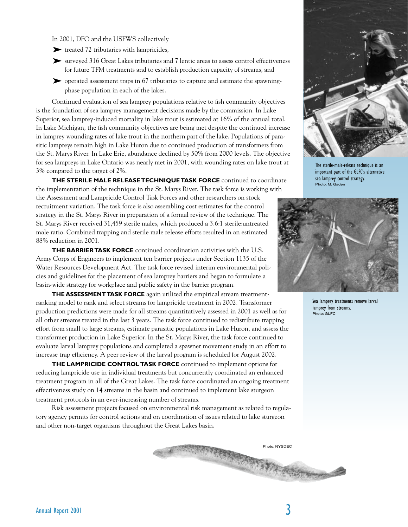#### In 2001, DFO and the USFWS collectively

- ➤ treated 72 tributaries with lampricides,
- ➤ surveyed 316 Great Lakes tributaries and 7 lentic areas to assess control effectiveness for future TFM treatments and to establish production capacity of streams, and
- ➤ operated assessment traps in 67 tributaries to capture and estimate the spawningphase population in each of the lakes.

Continued evaluation of sea lamprey populations relative to fish community objectives is the foundation of sea lamprey management decisions made by the commission. In Lake Superior, sea lamprey-induced mortality in lake trout is estimated at 16% of the annual total. In Lake Michigan, the fish community objectives are being met despite the continued increase in lamprey wounding rates of lake trout in the northern part of the lake. Populations of parasitic lampreys remain high in Lake Huron due to continued production of transformers from the St. Marys River. In Lake Erie, abundance declined by 50% from 2000 levels. The objective for sea lampreys in Lake Ontario was nearly met in 2001, with wounding rates on lake trout at 3% compared to the target of 2%.

**THE STERILE MALE RELEASE TECHNIQUE TASK FORCE** continued to coordinate the implementation of the technique in the St. Marys River. The task force is working with the Assessment and Lampricide Control Task Forces and other researchers on stock recruitment variation. The task force is also assembling cost estimates for the control strategy in the St. Marys River in preparation of a formal review of the technique. The St. Marys River received 31,459 sterile males, which produced a 3.6:1 sterile:untreated male ratio. Combined trapping and sterile male release efforts resulted in an estimated 88% reduction in 2001.

**THE BARRIER TASK FORCE** continued coordination activities with the U.S. Army Corps of Engineers to implement ten barrier projects under Section 1135 of the Water Resources Development Act. The task force revised interim environmental policies and guidelines for the placement of sea lamprey barriers and began to formulate a basin-wide strategy for workplace and public safety in the barrier program.

**THE ASSESSMENT TASK FORCE** again utilized the empirical stream treatmentranking model to rank and select streams for lampricide treatment in 2002. Transformer production predictions were made for all streams quantitatively assessed in 2001 as well as for all other streams treated in the last 3 years. The task force continued to redistribute trapping effort from small to large streams, estimate parasitic populations in Lake Huron, and assess the transformer production in Lake Superior. In the St. Marys River, the task force continued to evaluate larval lamprey populations and completed a spawner movement study in an effort to increase trap efficiency. A peer review of the larval program is scheduled for August 2002.

**THE LAMPRICIDE CONTROL TASK FORCE** continued to implement options for reducing lampricide use in individual treatments but concurrently coordinated an enhanced treatment program in all of the Great Lakes. The task force coordinated an ongoing treatment effectiveness study on 14 streams in the basin and continued to implement lake sturgeon treatment protocols in an ever-increasing number of streams.

Risk assessment projects focused on environmental risk management as related to regulatory agency permits for control actions and on coordination of issues related to lake sturgeon and other non-target organisms throughout the Great Lakes basin.



The sterile-male-release technique is an important part of the GLFC's alternative sea lamprey control strategy. Photo: M. Gaden



Sea lamprey treatments remove larval lamprey from streams. Photo: GLFC

Photo: NYSDEC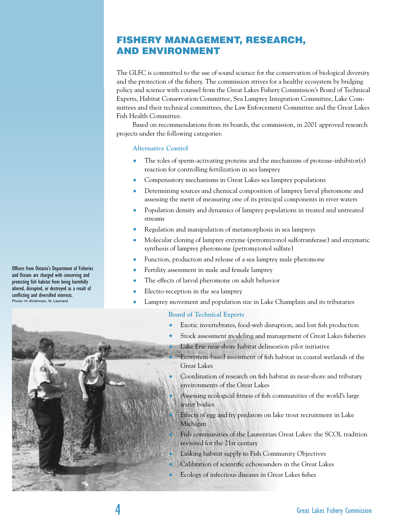## FISHERY MANAGEMENT, RESEARCH, AND ENVIRONMENT

The GLFC is committed to the use of sound science for the conservation of biological diversity and the protection of the fishery. The commission strives for a healthy ecosystem by bridging policy and science with counsel from the Great Lakes Fishery Commission's Board of Technical Experts, Habitat Conservation Committee, Sea Lamprey Integration Committee, Lake Committees and their technical committees, the Law Enforcement Committee and the Great Lakes Fish Health Committee.

Based on recommendations from its boards, the commission, in 2001 approved research projects under the following categories:

## **Alternative Control**

- The roles of sperm-activating proteins and the mechanism of protease-inhibitor(s) reaction for controlling fertilization in sea lamprey
- Compensatory mechanisms in Great Lakes sea lamprey populations
- Determining sources and chemical composition of lamprey larval pheromone and assessing the merit of measuring one of its principal components in river waters
- Population density and dynamics of lamprey populations in treated and untreated streams
- Regulation and manipulation of metamorphosis in sea lampreys
- Molecular cloning of lamprey enzyme (petromyzonol sulfotranferase) and enzymatic synthesis of lamprey pheromone (petromyzonol sulfate)
- Function, production and release of a sea lamprey male pheromone
- Fertility assessment in male and female lamprey
- The effects of larval pheromone on adult behavior
- Electro-reception in the sea lamprey
- Lamprey movement and population size in Lake Champlain and its tributaries

## **Board of Technical Experts**

- Exotic invertebrates, food-web disruption, and lost fish production
- Stock assessment modeling and management of Great Lakes fisheries
	- Lake Erie near-shore habitat delineation pilot initiative
	- Ecosystem-based assessment of fish habitat in coastal wetlands of the Great Lakes
- Coordination of research on fish habitat in near-shore and tributary environments of the Great Lakes
- Assessing ecological fitness of fish communities of the world's large water bodies
- Effects of egg and fry predators on lake trout recruitment in Lake Michigan
- Fish communities of the Laurentian Great Lakes: the SCOL tradition revisited for the 21st century
- Linking habitat supply to Fish Community Objectives
- Calibration of scientific echosounders in the Great Lakes
- Ecology of infectious diseases in Great Lakes fishes

Officers from Ontario's Department of Fisheries and Oceans are charged with conserving and protecting fish habitat from being harmfully altered, disrupted, or destroyed as a result of conflicting and diversified interests. Photo: H. Kirshman, N. Leonard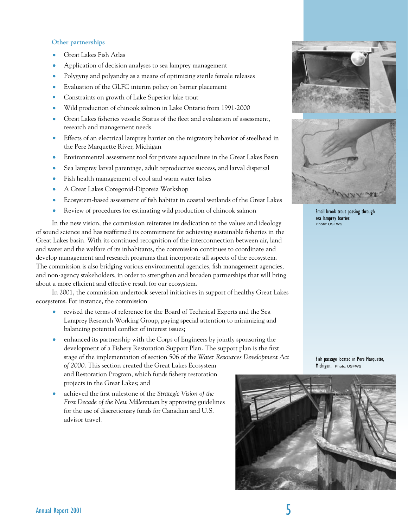## **Other partnerships**

- Great Lakes Fish Atlas
- Application of decision analyses to sea lamprey management
- Polygyny and polyandry as a means of optimizing sterile female releases
- Evaluation of the GLFC interim policy on barrier placement
- Constraints on growth of Lake Superior lake trout
- Wild production of chinook salmon in Lake Ontario from 1991-2000
- Great Lakes fisheries vessels: Status of the fleet and evaluation of assessment, research and management needs
- Effects of an electrical lamprey barrier on the migratory behavior of steelhead in the Pere Marquette River, Michigan
- Environmental assessment tool for private aquaculture in the Great Lakes Basin
- Sea lamprey larval parentage, adult reproductive success, and larval dispersal
- Fish health management of cool and warm water fishes
- A Great Lakes Coregonid-Diporeia Workshop
- Ecosystem-based assessment of fish habitat in coastal wetlands of the Great Lakes
- Review of procedures for estimating wild production of chinook salmon

In the new vision, the commission reiterates its dedication to the values and ideology of sound science and has reaffirmed its commitment for achieving sustainable fisheries in the Great Lakes basin. With its continued recognition of the interconnection between air, land and water and the welfare of its inhabitants, the commission continues to coordinate and develop management and research programs that incorporate all aspects of the ecosystem. The commission is also bridging various environmental agencies, fish management agencies, and non-agency stakeholders, in order to strengthen and broaden partnerships that will bring about a more efficient and effective result for our ecosystem.

In 2001, the commission undertook several initiatives in support of healthy Great Lakes ecosystems. For instance, the commission

- revised the terms of reference for the Board of Technical Experts and the Sea Lamprey Research Working Group, paying special attention to minimizing and balancing potential conflict of interest issues;
- enhanced its partnership with the Corps of Engineers by jointly sponsoring the development of a Fishery Restoration Support Plan. The support plan is the first stage of the implementation of section 506 of the *Water Resources Development Act of 2000*. This section created the Great Lakes Ecosystem and Restoration Program, which funds fishery restoration projects in the Great Lakes; and
- achieved the first milestone of the *Strategic Vision of the First Decade of the New Millennium* by approving guidelines for the use of discretionary funds for Canadian and U.S. advisor travel.





Small brook trout passing through sea lamprey barrier. Photo: USFWS

Fish passage located in Pere Marquette, Michigan. Photo: USFWS

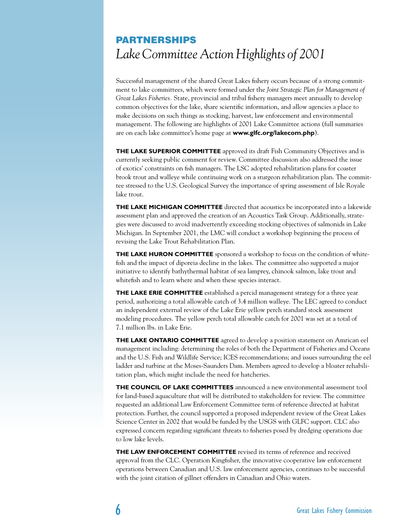## PARTNERSHIPS *Lake Committee Action Highlights of 2001*

Successful management of the shared Great Lakes fishery occurs because of a strong commitment to lake committees, which were formed under the *Joint Strategic Plan for Management of Great Lakes Fisheries.* State, provincial and tribal fishery managers meet annually to develop common objectives for the lake, share scientific information, and allow agencies a place to make decisions on such things as stocking, harvest, law enforcement and environmental management. The following are highlights of 2001 Lake Committee actions (full summaries are on each lake committee's home page at **www.glfc.org/lakecom.php**).

**THE LAKE SUPERIOR COMMITTEE** approved its draft Fish Community Objectives and is currently seeking public comment for review. Committee discussion also addressed the issue of exotics' constraints on fish managers. The LSC adopted rehabilitation plans for coaster brook trout and walleye while continuing work on a sturgeon rehabilitation plan. The committee stressed to the U.S. Geological Survey the importance of spring assessment of Isle Royale lake trout.

**THE LAKE MICHIGAN COMMITTEE** directed that acoustics be incorporated into a lakewide assessment plan and approved the creation of an Acoustics Task Group. Additionally, strategies were discussed to avoid inadvertently exceeding stocking objectives of salmonids in Lake Michigan. In September 2001, the LMC will conduct a workshop beginning the process of revising the Lake Trout Rehabilitation Plan.

**THE LAKE HURON COMMITTEE** sponsored a workshop to focus on the condition of whitefish and the impact of diporeia decline in the lakes. The committee also supported a major initiative to identify bathythermal habitat of sea lamprey, chinook salmon, lake trout and whitefish and to learn where and when these species interact.

**THE LAKE ERIE COMMITTEE** established a percid management strategy for a three year period, authorizing a total allowable catch of 3.4 million walleye. The LEC agreed to conduct an independent external review of the Lake Erie yellow perch standard stock assessment modeling procedures. The yellow perch total allowable catch for 2001 was set at a total of 7.1 million lbs. in Lake Erie.

**THE LAKE ONTARIO COMMITTEE** agreed to develop a position statement on Amrican eel management including: determining the roles of both the Department of Fisheries and Oceans and the U.S. Fish and Wildlife Service; ICES recommendations; and issues surrounding the eel ladder and turbine at the Moses-Saunders Dam. Members agreed to develop a bloater rehabilitation plan, which might include the need for hatcheries.

**THE COUNCIL OF LAKE COMMITTEES** announced a new environmental assessment tool for land-based aquaculture that will be distributed to stakeholders for review. The committee requested an additional Law Enforcement Committee term of reference directed at habitat protection. Further, the council supported a proposed independent review of the Great Lakes Science Center in 2002 that would be funded by the USGS with GLFC support. CLC also expressed concern regarding significant threats to fisheries posed by dredging operations due to low lake levels.

**THE LAW ENFORCEMENT COMMITTEE** revised its terms of reference and received approval from the CLC. Operation Kingfisher, the innovative cooperative law enforcement operations between Canadian and U.S. law enforcement agencies, continues to be successful with the joint citation of gillnet offenders in Canadian and Ohio waters.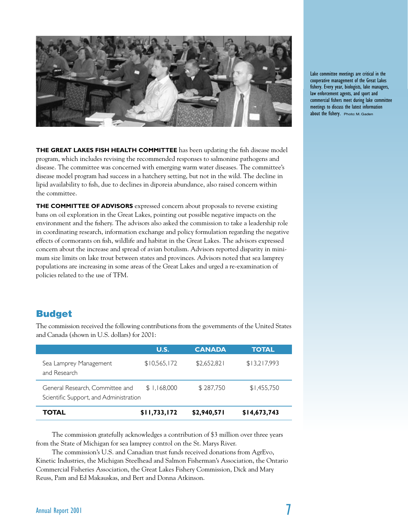

**THE GREAT LAKES FISH HEALTH COMMITTEE** has been updating the fish disease model program, which includes revising the recommended responses to salmonine pathogens and disease. The committee was concerned with emerging warm water diseases. The committee's disease model program had success in a hatchery setting, but not in the wild. The decline in lipid availability to fish, due to declines in diporeia abundance, also raised concern within the committee.

**THE COMMITTEE OF ADVISORS** expressed concern about proposals to reverse existing bans on oil exploration in the Great Lakes, pointing out possible negative impacts on the environment and the fishery. The advisors also asked the commission to take a leadership role in coordinating research, information exchange and policy formulation regarding the negative effects of cormorants on fish, wildlife and habitat in the Great Lakes. The advisors expressed concern about the increase and spread of avian botulism. Advisors reported disparity in minimum size limits on lake trout between states and provinces. Advisors noted that sea lamprey populations are increasing in some areas of the Great Lakes and urged a re-examination of policies related to the use of TFM.

## Budget

|                                                                           | U.S.         | <b>CANADA</b> | <b>TOTAL</b> |
|---------------------------------------------------------------------------|--------------|---------------|--------------|
| Sea Lamprey Management<br>and Research                                    | \$10,565,172 | \$2,652,821   | \$13,217,993 |
| General Research, Committee and<br>Scientific Support, and Administration | \$1,168,000  | \$287,750     | \$1,455,750  |
| TOTAL                                                                     | \$11,733,172 | \$2,940,571   | \$14,673,743 |

The commission received the following contributions from the governments of the United States and Canada (shown in U.S. dollars) for 2001:

The commission gratefully acknowledges a contribution of \$3 million over three years from the State of Michigan for sea lamprey control on the St. Marys River.

The commission's U.S. and Canadian trust funds received donations from AgrEvo, Kinetic Industries, the Michigan Steelhead and Salmon Fisherman's Association, the Ontario Commercial Fisheries Association, the Great Lakes Fishery Commission, Dick and Mary Reuss, Pam and Ed Makauskas, and Bert and Donna Atkinson.

Lake committee meetings are critical in the cooperative management of the Great Lakes fishery. Every year, biologists, lake managers, law enforcement agents, and sport and commercial fishers meet during lake committee meetings to discuss the latest information about the fishery. Photo: M. Gaden